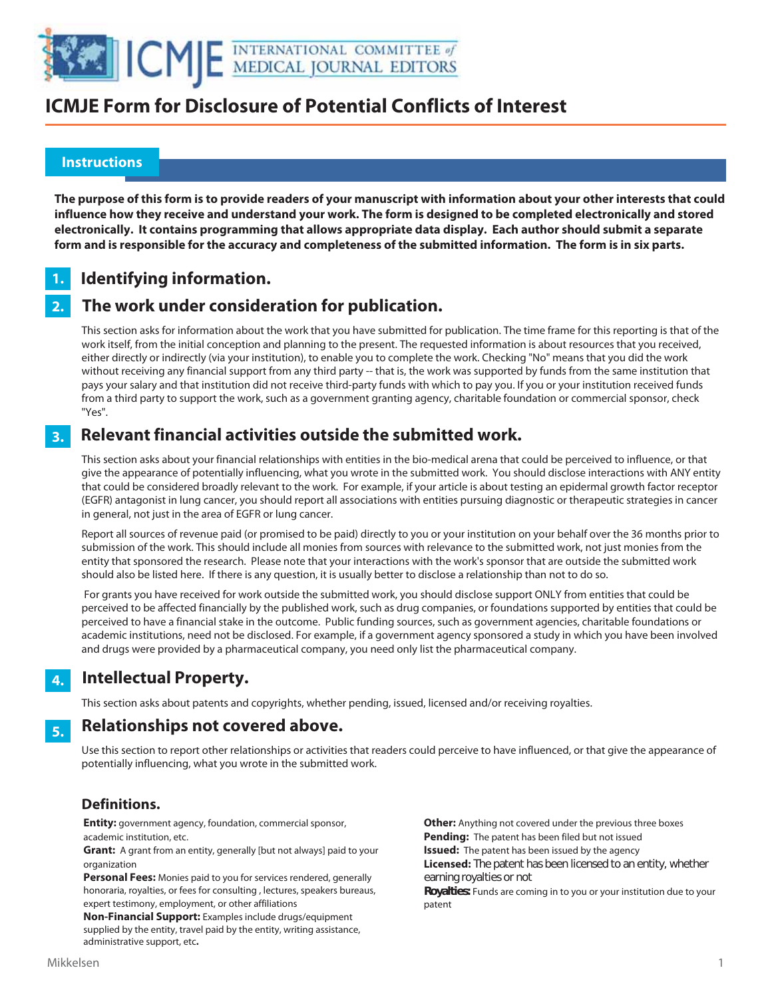

### **Instructions**

l

**The purpose of this form is to provide readers of your manuscript with information about your other interests that could influence how they receive and understand your work. The form is designed to be completed electronically and stored electronically. It contains programming that allows appropriate data display. Each author should submit a separate form and is responsible for the accuracy and completeness of the submitted information. The form is in six parts.** 

### **Identifying information. 1.**

### **The work under consideration for publication. 2.**

This section asks for information about the work that you have submitted for publication. The time frame for this reporting is that of the work itself, from the initial conception and planning to the present. The requested information is about resources that you received, either directly or indirectly (via your institution), to enable you to complete the work. Checking "No" means that you did the work without receiving any financial support from any third party -- that is, the work was supported by funds from the same institution that pays your salary and that institution did not receive third-party funds with which to pay you. If you or your institution received funds from a third party to support the work, such as a government granting agency, charitable foundation or commercial sponsor, check "Yes".

### **Relevant financial activities outside the submitted work. 3.**

This section asks about your financial relationships with entities in the bio-medical arena that could be perceived to influence, or that give the appearance of potentially influencing, what you wrote in the submitted work. You should disclose interactions with ANY entity that could be considered broadly relevant to the work. For example, if your article is about testing an epidermal growth factor receptor (EGFR) antagonist in lung cancer, you should report all associations with entities pursuing diagnostic or therapeutic strategies in cancer in general, not just in the area of EGFR or lung cancer.

Report all sources of revenue paid (or promised to be paid) directly to you or your institution on your behalf over the 36 months prior to submission of the work. This should include all monies from sources with relevance to the submitted work, not just monies from the entity that sponsored the research. Please note that your interactions with the work's sponsor that are outside the submitted work should also be listed here. If there is any question, it is usually better to disclose a relationship than not to do so.

 For grants you have received for work outside the submitted work, you should disclose support ONLY from entities that could be perceived to be affected financially by the published work, such as drug companies, or foundations supported by entities that could be perceived to have a financial stake in the outcome. Public funding sources, such as government agencies, charitable foundations or academic institutions, need not be disclosed. For example, if a government agency sponsored a study in which you have been involved and drugs were provided by a pharmaceutical company, you need only list the pharmaceutical company.

### **Intellectual Property. 4.**

This section asks about patents and copyrights, whether pending, issued, licensed and/or receiving royalties.

#### **Relationships not covered above. 5.**

Use this section to report other relationships or activities that readers could perceive to have influenced, or that give the appearance of potentially influencing, what you wrote in the submitted work.

## **Definitions.**

**Entity:** government agency, foundation, commercial sponsor, academic institution, etc.

**Grant:** A grant from an entity, generally [but not always] paid to your organization

**Personal Fees:** Monies paid to you for services rendered, generally honoraria, royalties, or fees for consulting , lectures, speakers bureaus, expert testimony, employment, or other affiliations

**Non-Financial Support:** Examples include drugs/equipment supplied by the entity, travel paid by the entity, writing assistance, administrative support, etc**.**

**Other:** Anything not covered under the previous three boxes **Pending:** The patent has been filed but not issued **Issued:** The patent has been issued by the agency **Licensed:** The patent has been licensed to an entity, whether earning royalties or not **Royalties:** Funds are coming in to you or your institution due to your

patent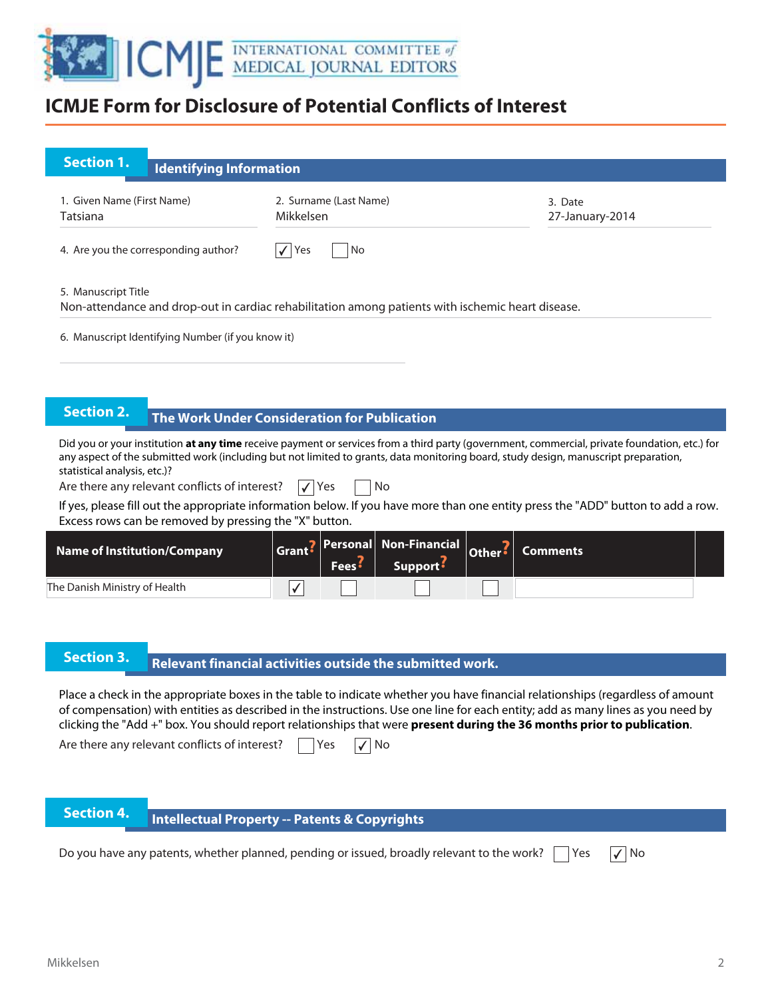

| No                                                                                                |
|---------------------------------------------------------------------------------------------------|
|                                                                                                   |
| Non-attendance and drop-out in cardiac rehabilitation among patients with ischemic heart disease. |
|                                                                                                   |

Did you or your institution **at any time** receive payment or services from a third party (government, commercial, private foundation, etc.) for any aspect of the submitted work (including but not limited to grants, data monitoring board, study design, manuscript preparation, statistical analysis, etc.)?

| Are there any relevant conflicts of interest? $\sqrt{\sqrt{2}}$ |  | $\Box$ No |
|-----------------------------------------------------------------|--|-----------|
|                                                                 |  |           |

| If yes, please fill out the appropriate information below. If you have more than one entity press the "ADD" button to add a row. |  |
|----------------------------------------------------------------------------------------------------------------------------------|--|
| Excess rows can be removed by pressing the "X" button.                                                                           |  |

| Name of Institution/Company   | Fees <sup>5</sup> | Grant? Personal Non-Financial<br>Support <sup>5</sup> | $ $ Other $\frac{?}{ }$ Comments |  |
|-------------------------------|-------------------|-------------------------------------------------------|----------------------------------|--|
| The Danish Ministry of Health |                   |                                                       |                                  |  |

# **Section 3.** Relevant financial activities outside the submitted work.

Place a check in the appropriate boxes in the table to indicate whether you have financial relationships (regardless of amount of compensation) with entities as described in the instructions. Use one line for each entity; add as many lines as you need by clicking the "Add +" box. You should report relationships that were **present during the 36 months prior to publication**.

Are there any relevant conflicts of interest?  $\Box$  Yes  $\Box$  No

# **Intellectual Property -- Patents & Copyrights**

Do you have any patents, whether planned, pending or issued, broadly relevant to the work?  $\Box$  Yes  $\Box$  No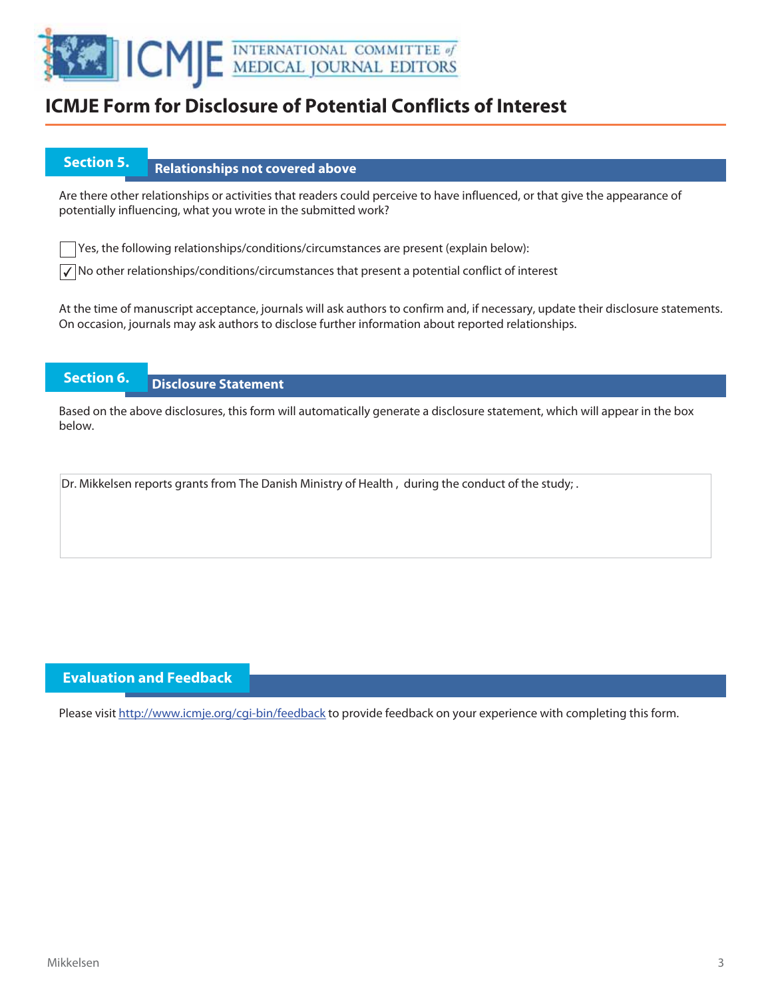

# **Section 5.** Relationships not covered above

Are there other relationships or activities that readers could perceive to have influenced, or that give the appearance of potentially influencing, what you wrote in the submitted work?

Yes, the following relationships/conditions/circumstances are present (explain below):

 $\sqrt{\ }$  No other relationships/conditions/circumstances that present a potential conflict of interest

At the time of manuscript acceptance, journals will ask authors to confirm and, if necessary, update their disclosure statements. On occasion, journals may ask authors to disclose further information about reported relationships.

# **Section 6. Disclosure Statement**

Based on the above disclosures, this form will automatically generate a disclosure statement, which will appear in the box below.

Dr. Mikkelsen reports grants from The Danish Ministry of Health , during the conduct of the study; .

## **Evaluation and Feedback**

Please visit http://www.icmje.org/cgi-bin/feedback to provide feedback on your experience with completing this form.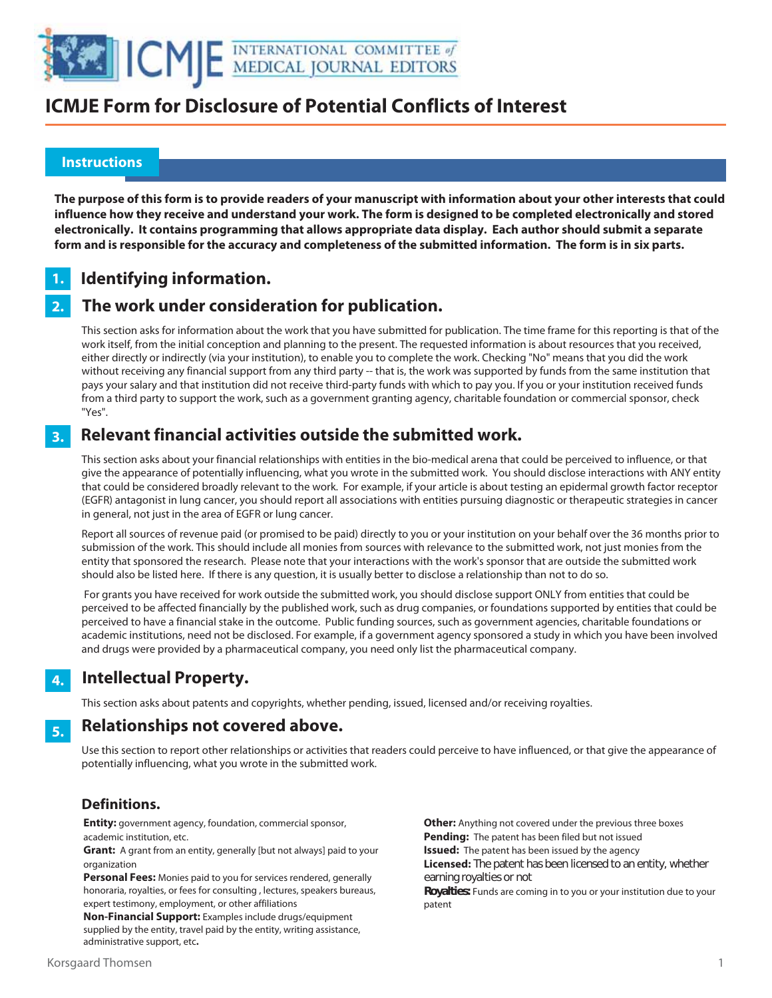

### **Instructions**

l

**The purpose of this form is to provide readers of your manuscript with information about your other interests that could influence how they receive and understand your work. The form is designed to be completed electronically and stored electronically. It contains programming that allows appropriate data display. Each author should submit a separate form and is responsible for the accuracy and completeness of the submitted information. The form is in six parts.** 

### **Identifying information. 1.**

### **The work under consideration for publication. 2.**

This section asks for information about the work that you have submitted for publication. The time frame for this reporting is that of the work itself, from the initial conception and planning to the present. The requested information is about resources that you received, either directly or indirectly (via your institution), to enable you to complete the work. Checking "No" means that you did the work without receiving any financial support from any third party -- that is, the work was supported by funds from the same institution that pays your salary and that institution did not receive third-party funds with which to pay you. If you or your institution received funds from a third party to support the work, such as a government granting agency, charitable foundation or commercial sponsor, check "Yes".

### **Relevant financial activities outside the submitted work. 3.**

This section asks about your financial relationships with entities in the bio-medical arena that could be perceived to influence, or that give the appearance of potentially influencing, what you wrote in the submitted work. You should disclose interactions with ANY entity that could be considered broadly relevant to the work. For example, if your article is about testing an epidermal growth factor receptor (EGFR) antagonist in lung cancer, you should report all associations with entities pursuing diagnostic or therapeutic strategies in cancer in general, not just in the area of EGFR or lung cancer.

Report all sources of revenue paid (or promised to be paid) directly to you or your institution on your behalf over the 36 months prior to submission of the work. This should include all monies from sources with relevance to the submitted work, not just monies from the entity that sponsored the research. Please note that your interactions with the work's sponsor that are outside the submitted work should also be listed here. If there is any question, it is usually better to disclose a relationship than not to do so.

 For grants you have received for work outside the submitted work, you should disclose support ONLY from entities that could be perceived to be affected financially by the published work, such as drug companies, or foundations supported by entities that could be perceived to have a financial stake in the outcome. Public funding sources, such as government agencies, charitable foundations or academic institutions, need not be disclosed. For example, if a government agency sponsored a study in which you have been involved and drugs were provided by a pharmaceutical company, you need only list the pharmaceutical company.

### **Intellectual Property. 4.**

This section asks about patents and copyrights, whether pending, issued, licensed and/or receiving royalties.

### **Relationships not covered above. 5.**

Use this section to report other relationships or activities that readers could perceive to have influenced, or that give the appearance of potentially influencing, what you wrote in the submitted work.

## **Definitions.**

**Entity:** government agency, foundation, commercial sponsor, academic institution, etc.

**Grant:** A grant from an entity, generally [but not always] paid to your organization

**Personal Fees:** Monies paid to you for services rendered, generally honoraria, royalties, or fees for consulting , lectures, speakers bureaus, expert testimony, employment, or other affiliations

**Non-Financial Support:** Examples include drugs/equipment supplied by the entity, travel paid by the entity, writing assistance, administrative support, etc**.**

**Other:** Anything not covered under the previous three boxes **Pending:** The patent has been filed but not issued **Issued:** The patent has been issued by the agency **Licensed:** The patent has been licensed to an entity, whether earning royalties or not

**Royalties:** Funds are coming in to you or your institution due to your patent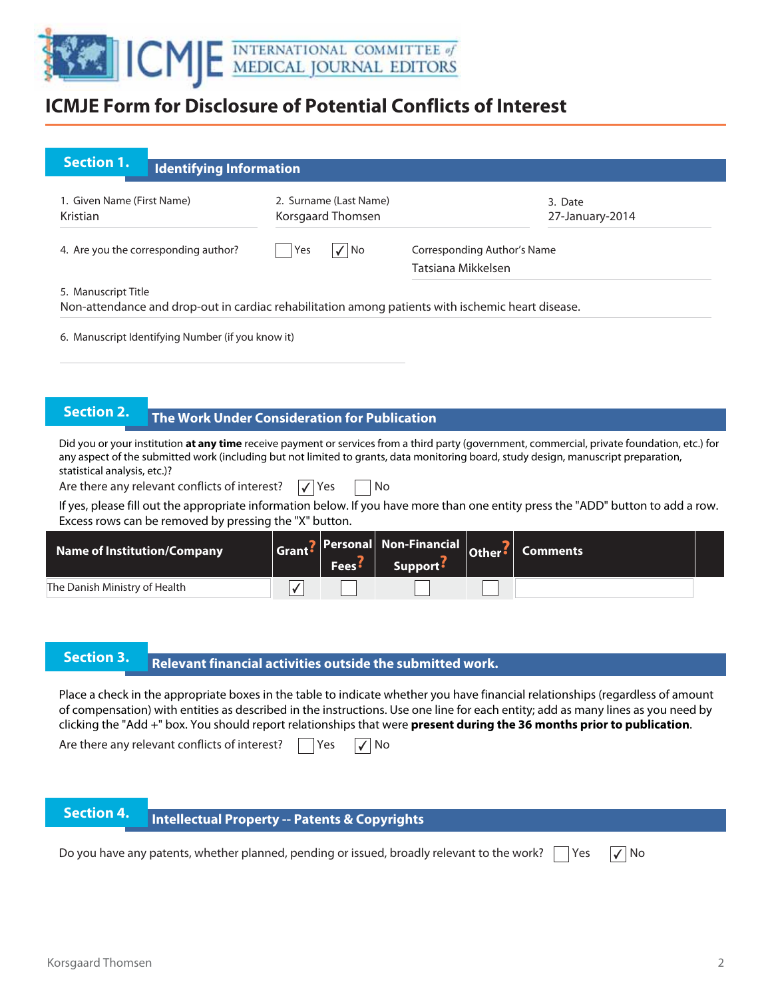

| <b>Section 1.</b><br><b>Identifying Information</b>                                                                      |                                                                                                      |                                                                                                                                                                                                                                                                                      |  |  |  |
|--------------------------------------------------------------------------------------------------------------------------|------------------------------------------------------------------------------------------------------|--------------------------------------------------------------------------------------------------------------------------------------------------------------------------------------------------------------------------------------------------------------------------------------|--|--|--|
| 1. Given Name (First Name)<br>Kristian                                                                                   | 2. Surname (Last Name)<br>Korsgaard Thomsen                                                          | 3. Date<br>27-January-2014                                                                                                                                                                                                                                                           |  |  |  |
| 4. Are you the corresponding author?                                                                                     | $\sqrt{ N}$<br>Yes                                                                                   | Corresponding Author's Name<br>Tatsiana Mikkelsen                                                                                                                                                                                                                                    |  |  |  |
| 5. Manuscript Title<br>Non-attendance and drop-out in cardiac rehabilitation among patients with ischemic heart disease. |                                                                                                      |                                                                                                                                                                                                                                                                                      |  |  |  |
| 6. Manuscript Identifying Number (if you know it)                                                                        |                                                                                                      |                                                                                                                                                                                                                                                                                      |  |  |  |
|                                                                                                                          |                                                                                                      |                                                                                                                                                                                                                                                                                      |  |  |  |
| <b>Section 2.</b>                                                                                                        |                                                                                                      |                                                                                                                                                                                                                                                                                      |  |  |  |
|                                                                                                                          | <b>The Work Under Consideration for Publication</b>                                                  |                                                                                                                                                                                                                                                                                      |  |  |  |
| statistical analysis, etc.)?                                                                                             |                                                                                                      | Did you or your institution at any time receive payment or services from a third party (government, commercial, private foundation, etc.) for<br>any aspect of the submitted work (including but not limited to grants, data monitoring board, study design, manuscript preparation, |  |  |  |
| Are there any relevant conflicts of interest?                                                                            | No<br>$\sqrt{\mathrm{Y}}$ es                                                                         |                                                                                                                                                                                                                                                                                      |  |  |  |
| Excess rows can be removed by pressing the "X" button.                                                                   |                                                                                                      | If yes, please fill out the appropriate information below. If you have more than one entity press the "ADD" button to add a row.                                                                                                                                                     |  |  |  |
| <b>Name of Institution/Company</b>                                                                                       | <b>Non-Financial</b><br><b>Personal</b><br>Grant <sup>?</sup><br>Support <sup>:</sup><br><b>Fees</b> | Other?<br><b>Comments</b>                                                                                                                                                                                                                                                            |  |  |  |
| The Danish Ministry of Health                                                                                            | $\checkmark$                                                                                         |                                                                                                                                                                                                                                                                                      |  |  |  |

# **Relevant financial activities outside the submitted work. Section 3. Relevant financial activities outset**

Place a check in the appropriate boxes in the table to indicate whether you have financial relationships (regardless of amount of compensation) with entities as described in the instructions. Use one line for each entity; add as many lines as you need by clicking the "Add +" box. You should report relationships that were **present during the 36 months prior to publication**.

Are there any relevant conflicts of interest?  $\Box$  Yes  $\Box$  No

# **Intellectual Property -- Patents & Copyrights**

Do you have any patents, whether planned, pending or issued, broadly relevant to the work?  $\Box$  Yes  $\Box$  No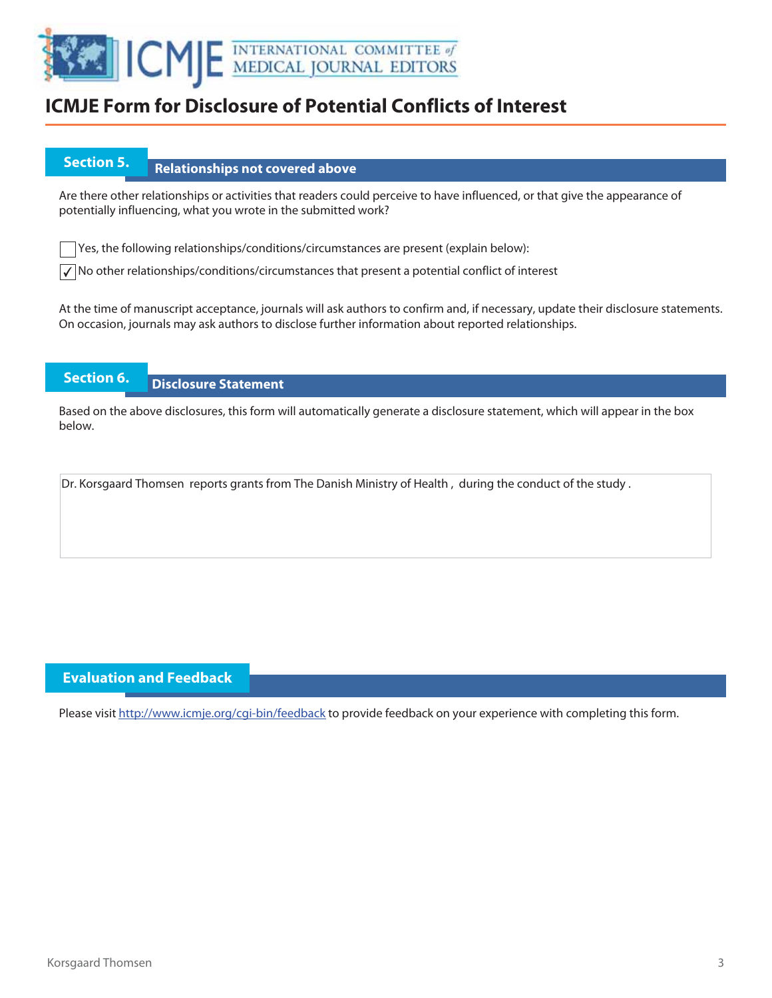

# **Section 5.** Relationships not covered above

Are there other relationships or activities that readers could perceive to have influenced, or that give the appearance of potentially influencing, what you wrote in the submitted work?

Yes, the following relationships/conditions/circumstances are present (explain below):

 $\sqrt{\ }$  No other relationships/conditions/circumstances that present a potential conflict of interest

At the time of manuscript acceptance, journals will ask authors to confirm and, if necessary, update their disclosure statements. On occasion, journals may ask authors to disclose further information about reported relationships.

# **Section 6. Disclosure Statement**

Based on the above disclosures, this form will automatically generate a disclosure statement, which will appear in the box below.

Dr. Korsgaard Thomsen reports grants from The Danish Ministry of Health , during the conduct of the study .

## **Evaluation and Feedback**

Please visit http://www.icmje.org/cgi-bin/feedback to provide feedback on your experience with completing this form.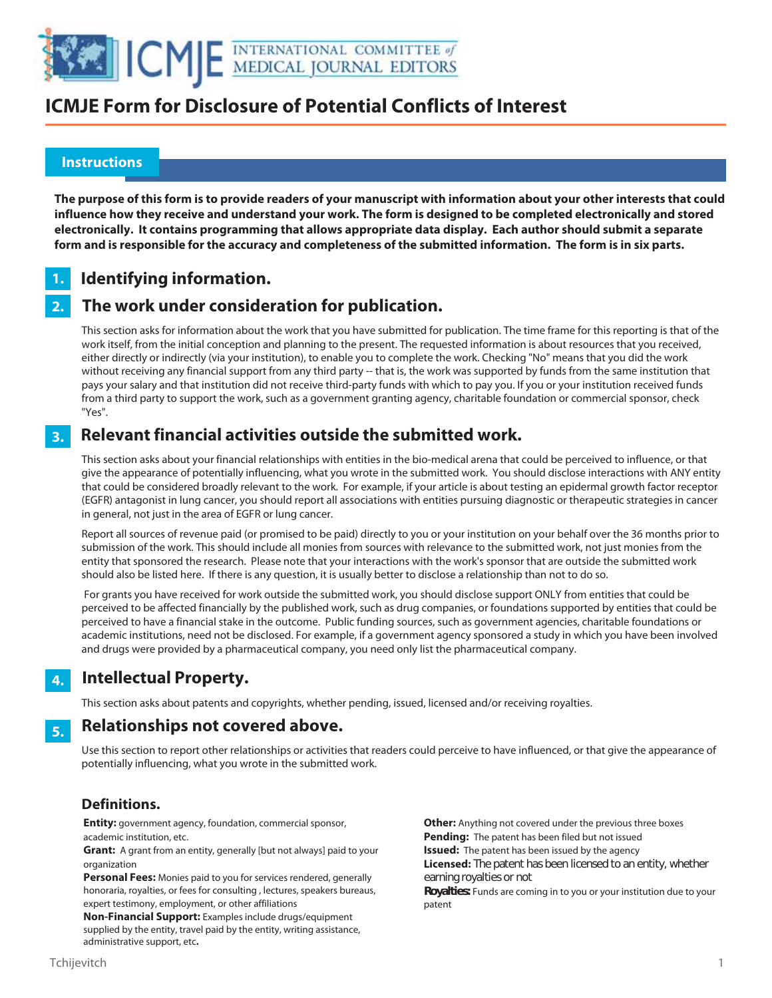

### **Instructions**

l

**The purpose of this form is to provide readers of your manuscript with information about your other interests that could influence how they receive and understand your work. The form is designed to be completed electronically and stored electronically. It contains programming that allows appropriate data display. Each author should submit a separate form and is responsible for the accuracy and completeness of the submitted information. The form is in six parts.** 

### **Identifying information. 1.**

### **The work under consideration for publication. 2.**

This section asks for information about the work that you have submitted for publication. The time frame for this reporting is that of the work itself, from the initial conception and planning to the present. The requested information is about resources that you received, either directly or indirectly (via your institution), to enable you to complete the work. Checking "No" means that you did the work without receiving any financial support from any third party -- that is, the work was supported by funds from the same institution that pays your salary and that institution did not receive third-party funds with which to pay you. If you or your institution received funds from a third party to support the work, such as a government granting agency, charitable foundation or commercial sponsor, check "Yes".

### **Relevant financial activities outside the submitted work. 3.**

This section asks about your financial relationships with entities in the bio-medical arena that could be perceived to influence, or that give the appearance of potentially influencing, what you wrote in the submitted work. You should disclose interactions with ANY entity that could be considered broadly relevant to the work. For example, if your article is about testing an epidermal growth factor receptor (EGFR) antagonist in lung cancer, you should report all associations with entities pursuing diagnostic or therapeutic strategies in cancer in general, not just in the area of EGFR or lung cancer.

Report all sources of revenue paid (or promised to be paid) directly to you or your institution on your behalf over the 36 months prior to submission of the work. This should include all monies from sources with relevance to the submitted work, not just monies from the entity that sponsored the research. Please note that your interactions with the work's sponsor that are outside the submitted work should also be listed here. If there is any question, it is usually better to disclose a relationship than not to do so.

 For grants you have received for work outside the submitted work, you should disclose support ONLY from entities that could be perceived to be affected financially by the published work, such as drug companies, or foundations supported by entities that could be perceived to have a financial stake in the outcome. Public funding sources, such as government agencies, charitable foundations or academic institutions, need not be disclosed. For example, if a government agency sponsored a study in which you have been involved and drugs were provided by a pharmaceutical company, you need only list the pharmaceutical company.

### **Intellectual Property. 4.**

This section asks about patents and copyrights, whether pending, issued, licensed and/or receiving royalties.

### **Relationships not covered above. 5.**

Use this section to report other relationships or activities that readers could perceive to have influenced, or that give the appearance of potentially influencing, what you wrote in the submitted work.

## **Definitions.**

**Entity:** government agency, foundation, commercial sponsor, academic institution, etc.

**Grant:** A grant from an entity, generally [but not always] paid to your organization

**Personal Fees:** Monies paid to you for services rendered, generally honoraria, royalties, or fees for consulting , lectures, speakers bureaus, expert testimony, employment, or other affiliations

**Non-Financial Support:** Examples include drugs/equipment supplied by the entity, travel paid by the entity, writing assistance, administrative support, etc**.**

**Other:** Anything not covered under the previous three boxes **Pending:** The patent has been filed but not issued **Issued:** The patent has been issued by the agency **Licensed:** The patent has been licensed to an entity, whether earning royalties or not **Royalties:** Funds are coming in to you or your institution due to your

patent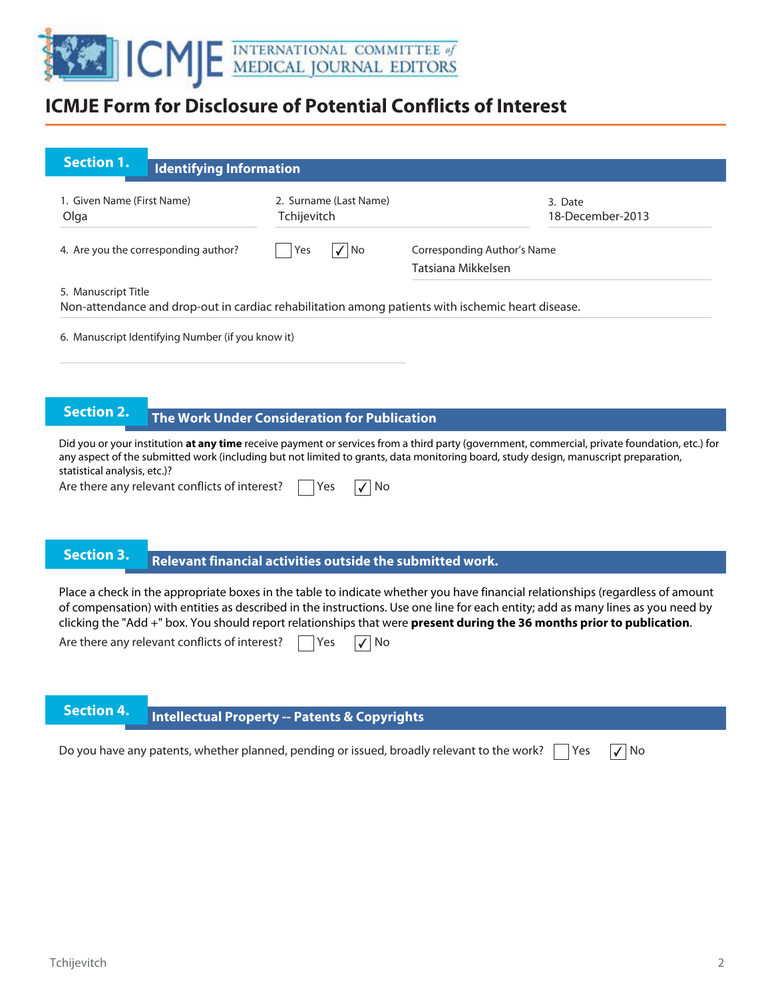

| <b>Section 1.</b><br><b>Identifying Information</b>                                                                                                                                                                                                                                                                                                                                         |                                                           |                             |  |  |  |  |  |
|---------------------------------------------------------------------------------------------------------------------------------------------------------------------------------------------------------------------------------------------------------------------------------------------------------------------------------------------------------------------------------------------|-----------------------------------------------------------|-----------------------------|--|--|--|--|--|
| 1. Given Name (First Name)<br>Olga                                                                                                                                                                                                                                                                                                                                                          | 2. Surname (Last Name)<br>Tchijevitch                     | 3. Date<br>18-December-2013 |  |  |  |  |  |
| 4. Are you the corresponding author?<br>$\sqrt{N}$<br>Corresponding Author's Name<br>Yes<br>Tatsiana Mikkelsen                                                                                                                                                                                                                                                                              |                                                           |                             |  |  |  |  |  |
| 5. Manuscript Title<br>Non-attendance and drop-out in cardiac rehabilitation among patients with ischemic heart disease.                                                                                                                                                                                                                                                                    |                                                           |                             |  |  |  |  |  |
|                                                                                                                                                                                                                                                                                                                                                                                             | 6. Manuscript Identifying Number (if you know it)         |                             |  |  |  |  |  |
|                                                                                                                                                                                                                                                                                                                                                                                             |                                                           |                             |  |  |  |  |  |
| <b>Section 2.</b><br>The Work Under Consideration for Publication                                                                                                                                                                                                                                                                                                                           |                                                           |                             |  |  |  |  |  |
| Did you or your institution at any time receive payment or services from a third party (government, commercial, private foundation, etc.) for<br>any aspect of the submitted work (including but not limited to grants, data monitoring board, study design, manuscript preparation,<br>statistical analysis, etc.)?                                                                        |                                                           |                             |  |  |  |  |  |
| Are there any relevant conflicts of interest?<br>No<br>Yes                                                                                                                                                                                                                                                                                                                                  |                                                           |                             |  |  |  |  |  |
|                                                                                                                                                                                                                                                                                                                                                                                             |                                                           |                             |  |  |  |  |  |
| <b>Section 3.</b>                                                                                                                                                                                                                                                                                                                                                                           | Relevant financial activities outside the submitted work. |                             |  |  |  |  |  |
| Place a check in the appropriate boxes in the table to indicate whether you have financial relationships (regardless of amount<br>of compensation) with entities as described in the instructions. Use one line for each entity; add as many lines as you need by<br>clicking the "Add +" box. You should report relationships that were present during the 36 months prior to publication. |                                                           |                             |  |  |  |  |  |
| Are there any relevant conflicts of interest?<br>No<br>Yes                                                                                                                                                                                                                                                                                                                                  |                                                           |                             |  |  |  |  |  |
|                                                                                                                                                                                                                                                                                                                                                                                             |                                                           |                             |  |  |  |  |  |

**Intellectual Property -- Patents & Copyrights** 

Do you have any patents, whether planned, pending or issued, broadly relevant to the work?  $\Box$  Yes  $\Box$  No